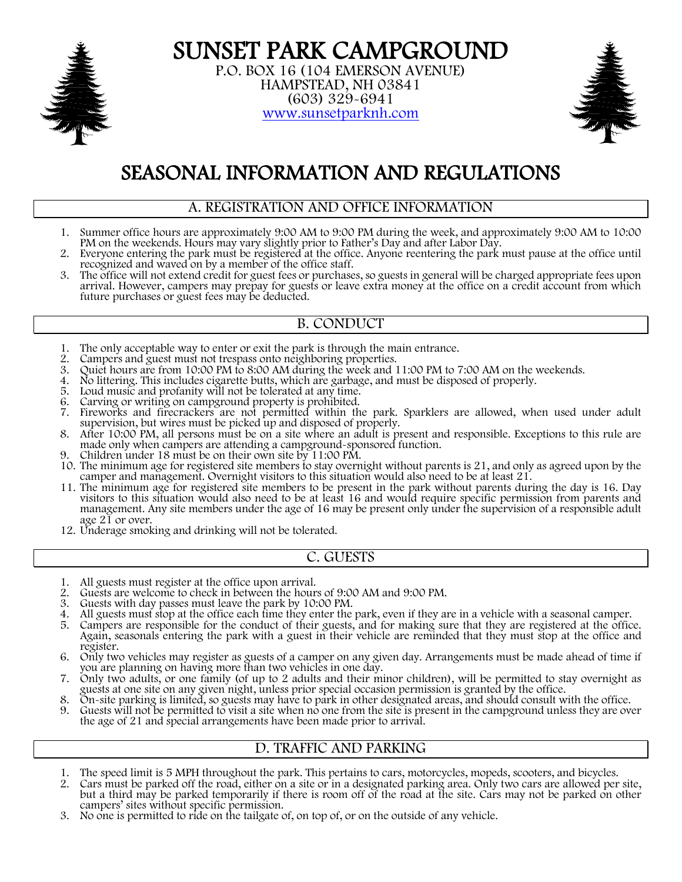

**SUNSET PARK CAMPGROUND**<br>P.O. BOX 16 (104 EMERSON AVENUE)<br>HAMPSTEAD, NH 03841<br>(603) 329-6941 www.sunsetparknh.com



# SEASONAL INFORMATION AND REGULATIONS

#### A. REGISTRATION AND OFFICE INFORMATION

- 1. Summer office hours are approximately 9:00 AM to 9:00 PM during the week, and approximately 9:00 AM to 10:00 PM on the weekends. Hours may vary slightly prior to Father's Day and after Labor Day.<br>2. Everyone entering th
- 2. Everyone entering the park must be registered at the office. Anyone reentering the park must pause at the office until recognized and waved on by a member of the office staff.<br>3. The office will not extend credit for gu
- 3. The office will not extend credit for guest fees or purchases, so guests in general will be charged appropriate fees upon arrival. However, campers may prepay for guests or leave extra money at the office on a credit account from which future purchases or guest fees may be deducted.

# B. CONDUCT

- 1. The only acceptable way to enter or exit the park is through the main entrance.<br>2. Campers and guest must not trespass onto neighboring properties.
- 2. Campers and guest must not trespass onto neighboring properties.<br>
3. Ouiet hours are from 10:00 PM to 8:00 AM during the week and 1
- Quiet hours are from 10:00 PM to 8:00 AM during the week and 11:00 PM to 7:00 AM on the weekends.
- 4. No littering. This includes cigarette butts, which are garbage, and must be disposed of properly.
- 5. Loud music and profanity will not be tolerated at any time.
- Carving or writing on campground property is prohibited.
- 7. Fireworks and firecrackers are not permitted within the park. Sparklers are allowed, when used under adult supervision, but wires must be picked up and disposed of properly.
- 8. After 10:00 PM, all persons must be on a site where an adult is present and responsible. Exceptions to this rule are made only when campers are attending a campground-sponsored function.
- 9. Children under 18 must be on their own site by 11:00 PM.
- 10. The minimum age for registered site members to stay overnight without parents is 21, and only as agreed upon by the camper and management. Overnight visitors to this situation would also need to be at least 21.
- 11. The minimum age for registered site members to be present in the park without parents during the day is 16. Day visitors to this situation would also need to be at least 16 and would require specific permission from pa management. Any site members under the age of 16 may be present only under the supervision of a responsible adult age 21 or over.
- 12. Underage smoking and drinking will not be tolerated.

#### C. GUESTS

- 1. All guests must register at the office upon arrival.<br>2. Guests are welcome to check in between the hour
- 2. Guests are welcome to check in between the hours of 9:00 AM and 9:00 PM.<br>3. Guests with dav passes must leave the park by 10:00 PM.
- 3. Guests with day passes must leave the park by 10:00 PM.
- 
- 4. All guests must stop at the office each time they enter the park, even if they are in a vehicle with a seasonal camper.<br>5. Campers are responsible for the conduct of their guests, and for making sure that they are regis Again, seasonals entering the park with a guest in their vehicle are reminded that they must stop at the office and register.
- 6. Only two vehicles may register as guests of a camper on any given day. Arrangements must be made ahead of time if you are planning on having more than two vehicles in one day.<br>7. Only two adults, or one family (of up to
- 7. Only two adults, or one family (of up to 2 adults and their minor children), will be permitted to stay overnight as guests at one site on any given night, unless prior special occasion permission is granted by the office.
- 8. On-site parking is limited, so guests may have to park in other designated areas, and should consult with the office.
- 9. Guests will not be permitted to visit a site when no one from the site is present in the campground unless they are over the age of 21 and special arrangements have been made prior to arrival.

#### D. TRAFFIC AND PARKING

- 1. The speed limit is 5 MPH throughout the park. This pertains to cars, motorcycles, mopeds, scooters, and bicycles.<br>2. Cars must be parked off the road, either on a site or in a designated parking area. Only two cars are
- 2. Cars must be parked off the road, either on a site or in a designated parking area. Only two cars are allowed per site, but a third may be parked temporarily if there is room off of the road at the site. Cars may not be parked on other campers' sites without specific permission.
- 3. No one is permitted to ride on the tailgate of, on top of, or on the outside of any vehicle.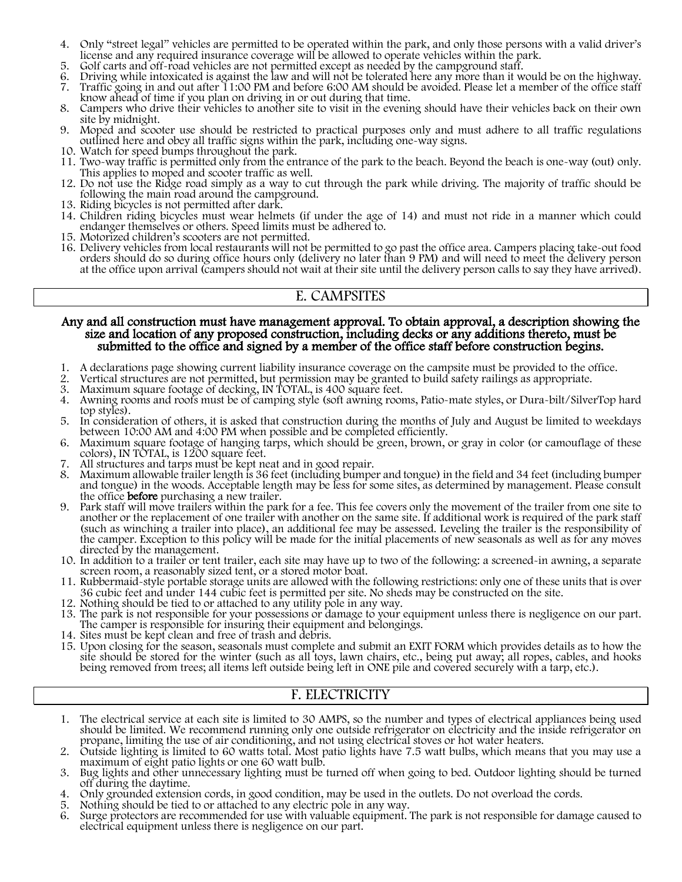- 4. Only "street legal" vehicles are permitted to be operated within the park, and only those persons with a valid driver's license and any required insurance coverage will be allowed to operate vehicles within the park.
- 5. Golf carts and off-road vehicles are not permitted except as needed by the campground staff.
- 6. Driving while intoxicated is against the law and will not be tolerated here any more than it would be on the highway.
- 7. Traffic going in and out after 11:00 PM and before 6:00 AM should be avoided. Please let a member of the office staff know ahead of time if you plan on driving in or out during that time.
- 8. Campers who drive their vehicles to another site to visit in the evening should have their vehicles back on their own site by midnight.
- 9. Moped and scooter use should be restricted to practical purposes only and must adhere to all traffic regulations outlined here and obey all traffic signs within the park, including one-way signs.
- 10. Watch for speed bumps throughout the park.
- 11. Two-way traffic is permitted only from the entrance of the park to the beach. Beyond the beach is one-way (out) only. This applies to moped and scooter traffic as well.
- 12. Do not use the Ridge road simply as a way to cut through the park while driving. The majority of traffic should be following the main road around the campground.
- 13. Riding bicycles is not permitted after dark.
- 14. Children riding bicycles must wear helmets (if under the age of 14) and must not ride in a manner which could endanger themselves or others. Speed limits must be adhered to.
- 15. Motorized children's scooters are not permitted.
- 16. Delivery vehicles from local restaurants will not be permitted to go past the office area. Campers placing take-out food orders should do so during office hours only (delivery no later than 9 PM) and will need to meet the delivery person at the office upon arrival (campers should not wait at their site until the delivery person calls to say they have arrived).

#### E. CAMPSITES

# Any and all construction must have management approval. To obtain approval, a description showing the size and location of any proposed construction, including decks or any additions thereto, must be submitted to the office and signed by a member of the office staff before construction begins.

- 1. A declarations page showing current liability insurance coverage on the campsite must be provided to the office.
- 2. Vertical structures are not permitted, but permission may be granted to build safety railings as appropriate.<br>
2. Maximum square footage of decking, IN TOTAL, is 400 square feet.<br>
4. Awning rooms and roofs must be of ca
- 
- Awning rooms and roofs must be of camping style (soft awning rooms, Patio-mate styles, or Dura-bilt/SilverTop hard top styles).
- 5. In consideration of others, it is asked that construction during the months of July and August be limited to weekdays between 10:00 AM and 4:00 PM when possible and be completed efficiently.
- 6. Maximum square footage of hanging tarps, which should be green, brown, or gray in color (or camouflage of these colors), IN TOTAL, is 1200 square feet.
- 
- 7. All structures and tarps must be kept neat and in good repair. and tongue) in the woods. Acceptable length may be less for some sites, as determined by management. Please consult the office **before** purchasing a new trailer.
- 9. Park staff will move trailers within the park for a fee. This fee covers only the movement of the trailer from one site to another or the replacement of one trailer with another on the same site. If additional work is r the camper. Exception to this policy will be made for the initial placements of new seasonals as well as for any moves directed by the management.
- 10. In addition to a trailer or tent trailer, each site may have up to two of the following: a screened-in awning, a separate screen room, a reasonably sized tent, or a stored motor boat.
- 11. Rubbermaid-style portable storage units are allowed with the following restrictions: only one of these units that is over 36 cubic feet and under 144 cubic feet is permitted per site. No sheds may be constructed on the
- 12. Nothing should be tied to or attached to any utility pole in any way.
- 13. The park is not responsible for your possessions or damage to your equipment unless there is negligence on our part. The camper is responsible for insuring their equipment and belongings.
- 14. Sites must be kept clean and free of trash and debris.
- 15. Upon closing for the season, seasonals must complete and submit an EXIT FORM which provides details as to how the site should be stored for the winter (such as all toys, lawn chairs, etc., being put away; all ropes, cables, and hooks being removed from trees; all items left outside being left in ONE pile and covered securely with a tarp, etc.).

#### F. ELECTRICITY

- 1. The electrical service at each site is limited to 30 AMPS, so the number and types of electrical appliances being used should be limited. We recommend running only one outside refrigerator on electricity and the inside refrigerator on propane, limiting the use of air conditioning, and not using electrical stoves or hot water heaters.
- 2. Outside lighting is limited to 60 watts total. Most patio lights have 7.5 watt bulbs, which means that you may use a maximum of eight patio lights or one 60 watt bulb.
- 3. Bug lights and other unnecessary lighting must be turned off when going to bed. Outdoor lighting should be turned<br>3. Only arounded extension cords, in good condition, may be used in the outlets. Do not overload the cord
- 4. Only grounded extension cords, in good condition, may be used in the outlets. Do not overload the cords.
- 5. Nothing should be tied to or attached to any electric pole in any way.
- 6. Surge protectors are recommended for use with valuable equipment. The park is not responsible for damage caused to electrical equipment unless there is negligence on our part.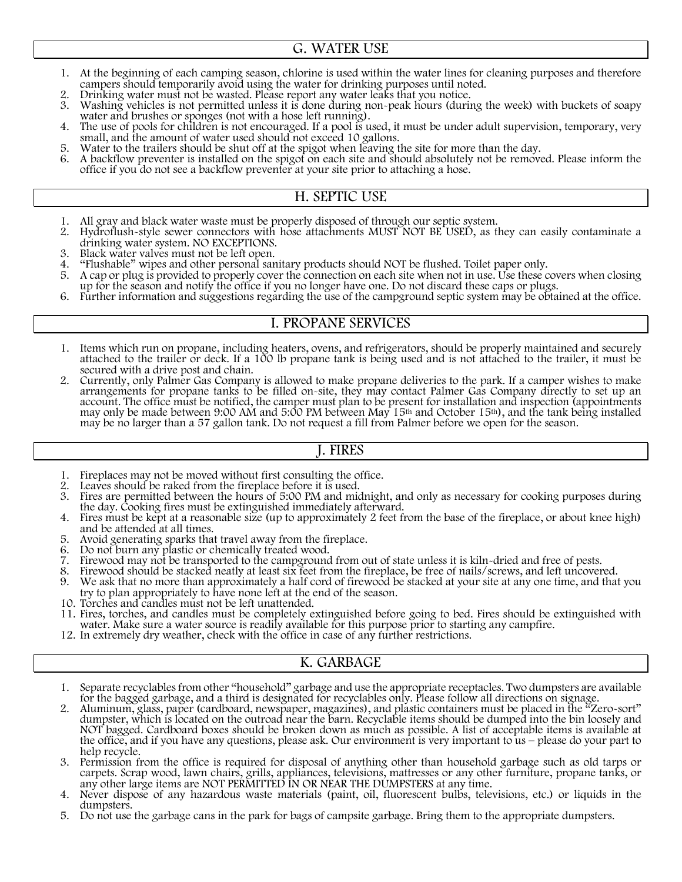#### G. WATER USE

- 1. At the beginning of each camping season, chlorine is used within the water lines for cleaning purposes and therefore campers should temporarily avoid using the water for drinking purposes until noted.<br>
2. Drinking water
- 
- 3. Washing vehicles is not permitted unless it is done during non-peak hours (during the week) with buckets of soapy water and brushes or sponges (not with a hose left running).<br>4. The use of pools for children is not enco
- The use of pools for children is not encouraged. If a pool is used, it must be under adult supervision, temporary, very small, and the amount of water used should not exceed 10 gallons.
- 5. Water to the trailers should be shut off at the spigot when leaving the site for more than the day.
- 6. A backflow preventer is installed on the spigot on each site and should absolutely not be removed. Please inform the office if you do not see a backflow preventer at your site prior to attaching a hose.

### H. SEPTIC USE

- 1. All gray and black water waste must be properly disposed of through our septic system.<br>2. Hydroflush-style sewer connectors with hose attachments MUST NOT BE USED, as the
- 2. Hydroflush-style sewer connectors with hose attachments MUST NOT BE USED, as they can easily contaminate a drinking water system. NO EXCEPTIONS.<br>3. Black water valves must not be left open.
- 3. Black water valves must not be left open.<br>4. "Flushable" wipes and other personal sar
- 4. "Flushable" wipes and other personal sanitary products should NOT be flushed. Toilet paper only.<br>5. A cap or plug is provided to properly cover the connection on each site when not in use. Use these c
- 5. A cap or plug is provided to properly cover the connection on each site when not in use. Use these covers when closing up for the season and notify the office if you no longer have one. Do not discard these caps or plugs.
- 6. Further information and suggestions regarding the use of the campground septic system may be obtained at the office.

#### I. PROPANE SERVICES

- 1. Items which run on propane, including heaters, ovens, and refrigerators, should be properly maintained and securely attached to the trailer or deck. If a 100 lb propane tank is being used and is not attached to the trailer, it must be secured with a drive post and chain.
- 2. Currently, only Palmer Gas Company is allowed to make propane deliveries to the park. If a camper wishes to make arrangements for propane tanks to be filled on-site, they may contact Palmer Gas Company directly to set up an<br>account. The office must be notified, the camper must plan to be present for installation and inspection (appoi may only be made between 9:00 AM and 5:00 PM between May 15th and October 15th), and the tank being installed may be no larger than a 57 gallon tank. Do not request a fill from Palmer before we open for the season.

#### J. FIRES

- 1. Fireplaces may not be moved without first consulting the office.<br>2. Leaves should be raked from the fireplace before it is used.
- 2. Leaves should be raked from the fireplace before it is used.<br>3. Fires are permitted between the hours of 5:00 PM and mide
- 3. Fires are permitted between the hours of 5:00 PM and midnight, and only as necessary for cooking purposes during the day. Cooking fires must be extinguished immediately afterward.<br>4. Fires must be kept at a reasonable s
- Fires must be kept at a reasonable size (up to approximately 2 feet from the base of the fireplace, or about knee high) and be attended at all times.
- 5. Avoid generating sparks that travel away from the fireplace.<br>6. Do not burn any plastic or chemically treated wood.
- 6. Do not burn any plastic or chemically treated wood.
- Firewood may not be transported to the campground from out of state unless it is kiln-dried and free of pests.
- 8. Firewood should be stacked neatly at least six feet from the fireplace, be free of nails/screws, and left uncovered.
- We ask that no more than approximately a half cord of firewood be stacked at your site at any one time, and that you try to plan appropriately to have none left at the end of the season.
- 10. Torches and candles must not be left unattended.
- 11. Fires, torches, and candles must be completely extinguished before going to bed. Fires should be extinguished with water. Make sure a water source is readily available for this purpose prior to starting any campfire.
- 12. In extremely dry weather, check with the office in case of any further restrictions.

# K. GARBAGE

- 1. Separate recyclables from other "household" garbage and use the appropriate receptacles. Two dumpsters are available for the bagged garbage, and a third is designated for recyclables only. Please follow all directions o
- 2. Aluminum, glass, paper (cardboard, newspaper, magazines), and plastic containers must be placed in the "Zero-sort" dumpster, which is located on the outroad near the barn. Recyclable items should be dumped into the bin loosely and NOT bagged. Cardboard boxes should be broken down as much as possible. A list of acceptable items is available at the office, and if you have any questions, please ask. Our environment is very important to us – please do your part to help recycle.
- 3. Permission from the office is required for disposal of anything other than household garbage such as old tarps or carpets. Scrap wood, lawn chairs, grills, appliances, televisions, mattresses or any other furniture, propane tanks, or any other large items are NOT PERMITTED IN OR NEAR THE DUMPSTERS at any time.
- 4. Never dispose of any hazardous waste materials (paint, oil, fluorescent bulbs, televisions, etc.) or liquids in the dumpsters.
- 5. Do not use the garbage cans in the park for bags of campsite garbage. Bring them to the appropriate dumpsters.